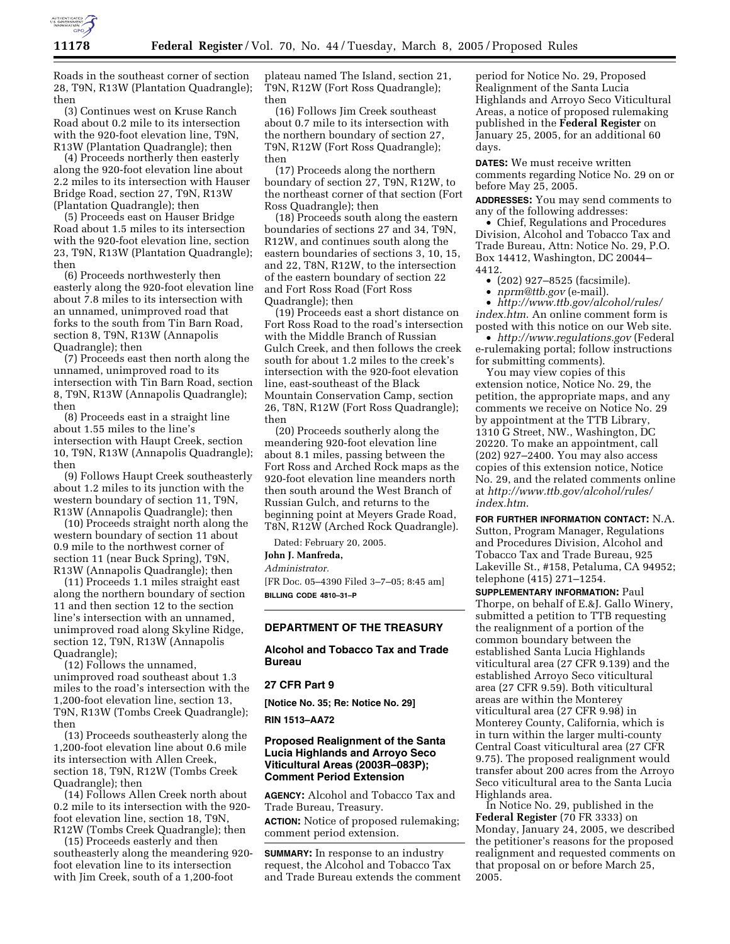

Roads in the southeast corner of section 28, T9N, R13W (Plantation Quadrangle); then

(3) Continues west on Kruse Ranch Road about 0.2 mile to its intersection with the 920-foot elevation line, T9N, R13W (Plantation Quadrangle); then

(4) Proceeds northerly then easterly along the 920-foot elevation line about 2.2 miles to its intersection with Hauser Bridge Road, section 27, T9N, R13W (Plantation Quadrangle); then

(5) Proceeds east on Hauser Bridge Road about 1.5 miles to its intersection with the 920-foot elevation line, section 23, T9N, R13W (Plantation Quadrangle); then

(6) Proceeds northwesterly then easterly along the 920-foot elevation line about 7.8 miles to its intersection with an unnamed, unimproved road that forks to the south from Tin Barn Road, section 8, T9N, R13W (Annapolis Quadrangle); then

(7) Proceeds east then north along the unnamed, unimproved road to its intersection with Tin Barn Road, section 8, T9N, R13W (Annapolis Quadrangle); then

(8) Proceeds east in a straight line about 1.55 miles to the line's intersection with Haupt Creek, section 10, T9N, R13W (Annapolis Quadrangle); then

(9) Follows Haupt Creek southeasterly about 1.2 miles to its junction with the western boundary of section 11, T9N, R13W (Annapolis Quadrangle); then

(10) Proceeds straight north along the western boundary of section 11 about 0.9 mile to the northwest corner of section 11 (near Buck Spring), T9N, R13W (Annapolis Quadrangle); then

(11) Proceeds 1.1 miles straight east along the northern boundary of section 11 and then section 12 to the section line's intersection with an unnamed, unimproved road along Skyline Ridge, section 12, T9N, R13W (Annapolis Quadrangle);

(12) Follows the unnamed, unimproved road southeast about 1.3 miles to the road's intersection with the 1,200-foot elevation line, section 13, T9N, R13W (Tombs Creek Quadrangle); then

(13) Proceeds southeasterly along the 1,200-foot elevation line about 0.6 mile its intersection with Allen Creek, section 18, T9N, R12W (Tombs Creek Quadrangle); then

(14) Follows Allen Creek north about 0.2 mile to its intersection with the 920 foot elevation line, section 18, T9N, R12W (Tombs Creek Quadrangle); then

(15) Proceeds easterly and then southeasterly along the meandering 920 foot elevation line to its intersection with Jim Creek, south of a 1,200-foot

plateau named The Island, section 21, T9N, R12W (Fort Ross Quadrangle); then

(16) Follows Jim Creek southeast about 0.7 mile to its intersection with the northern boundary of section 27, T9N, R12W (Fort Ross Quadrangle); then

(17) Proceeds along the northern boundary of section 27, T9N, R12W, to the northeast corner of that section (Fort Ross Quadrangle); then

(18) Proceeds south along the eastern boundaries of sections 27 and 34, T9N, R12W, and continues south along the eastern boundaries of sections 3, 10, 15, and 22, T8N, R12W, to the intersection of the eastern boundary of section 22 and Fort Ross Road (Fort Ross Quadrangle); then

(19) Proceeds east a short distance on Fort Ross Road to the road's intersection with the Middle Branch of Russian Gulch Creek, and then follows the creek south for about 1.2 miles to the creek's intersection with the 920-foot elevation line, east-southeast of the Black Mountain Conservation Camp, section 26, T8N, R12W (Fort Ross Quadrangle); then

(20) Proceeds southerly along the meandering 920-foot elevation line about 8.1 miles, passing between the Fort Ross and Arched Rock maps as the 920-foot elevation line meanders north then south around the West Branch of Russian Gulch, and returns to the beginning point at Meyers Grade Road, T8N, R12W (Arched Rock Quadrangle).

Dated: February 20, 2005.

**John J. Manfreda,** 

*Administrator.*

[FR Doc. 05–4390 Filed 3–7–05; 8:45 am] **BILLING CODE 4810–31–P**

## **DEPARTMENT OF THE TREASURY**

## **Alcohol and Tobacco Tax and Trade Bureau**

#### **27 CFR Part 9**

**[Notice No. 35; Re: Notice No. 29]** 

#### **RIN 1513–AA72**

## **Proposed Realignment of the Santa Lucia Highlands and Arroyo Seco Viticultural Areas (2003R–083P); Comment Period Extension**

**AGENCY:** Alcohol and Tobacco Tax and Trade Bureau, Treasury.

**ACTION:** Notice of proposed rulemaking; comment period extension.

**SUMMARY:** In response to an industry request, the Alcohol and Tobacco Tax and Trade Bureau extends the comment

period for Notice No. 29, Proposed Realignment of the Santa Lucia Highlands and Arroyo Seco Viticultural Areas, a notice of proposed rulemaking published in the **Federal Register** on January 25, 2005, for an additional 60 days.

**DATES:** We must receive written comments regarding Notice No. 29 on or before May 25, 2005.

**ADDRESSES:** You may send comments to any of the following addresses:

• Chief, Regulations and Procedures Division, Alcohol and Tobacco Tax and Trade Bureau, Attn: Notice No. 29, P.O. Box 14412, Washington, DC 20044– 4412.

• (202) 927–8525 (facsimile).

• *nprm@ttb.gov* (e-mail).

• *http://www.ttb.gov/alcohol/rules/ index.htm*. An online comment form is posted with this notice on our Web site.

• *http://www.regulations.gov* (Federal e-rulemaking portal; follow instructions for submitting comments).

You may view copies of this extension notice, Notice No. 29, the petition, the appropriate maps, and any comments we receive on Notice No. 29 by appointment at the TTB Library, 1310 G Street, NW., Washington, DC 20220. To make an appointment, call (202) 927–2400. You may also access copies of this extension notice, Notice No. 29, and the related comments online at *http://www.ttb.gov/alcohol/rules/ index.htm*.

**FOR FURTHER INFORMATION CONTACT:** N.A. Sutton, Program Manager, Regulations and Procedures Division, Alcohol and Tobacco Tax and Trade Bureau, 925 Lakeville St., #158, Petaluma, CA 94952; telephone (415) 271–1254.

**SUPPLEMENTARY INFORMATION:** Paul Thorpe, on behalf of E.&J. Gallo Winery, submitted a petition to TTB requesting the realignment of a portion of the common boundary between the established Santa Lucia Highlands viticultural area (27 CFR 9.139) and the established Arroyo Seco viticultural area (27 CFR 9.59). Both viticultural areas are within the Monterey viticultural area (27 CFR 9.98) in Monterey County, California, which is in turn within the larger multi-county Central Coast viticultural area (27 CFR 9.75). The proposed realignment would transfer about 200 acres from the Arroyo Seco viticultural area to the Santa Lucia Highlands area.

In Notice No. 29, published in the **Federal Register** (70 FR 3333) on Monday, January 24, 2005, we described the petitioner's reasons for the proposed realignment and requested comments on that proposal on or before March 25, 2005.